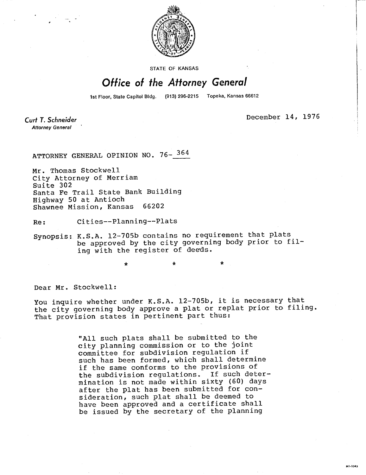

STATE OF KANSAS

## Office of the Attorney General

1st Floor, State Capitol Bldg. (913) 296-2215 Topeka, Kansas 66612

Curt T. Schneider **Attorney General** 

December 14, 1976

ATTORNEY GENERAL OPINION NO. 76- 364

Mr. Thomas Stockwell City Attorney of Merriam Suite 302 Santa Fe Trail State Bank Building Highway 50 at Antioch Shawnee Mission, Kansas 66202

Re: Cities--Planning--Plats

\*

Synopsis: K.S.A. 12-705b contains no requirement that plats be approved by the city governing body prior to filing with the register of deeds.

Dear Mr. Stockwell:

You inquire whether under K.S.A. 12-705b, it is necessary that the city governing body approve a plat or replat prior to filing. That provision states in pertinent part thus:

 $\star$ 

"All such plats shall be submitted to the city planning commission or to the joint committee for subdivision regulation if such has been formed, which shall determine if the same conforms to the provisions of the subdivision regulations. If such determination is not made within sixty (60) days after the plat has been submitted for consideration, such plat shall be deemed to have been approved and a certificate shall be issued by the secretary of the planning